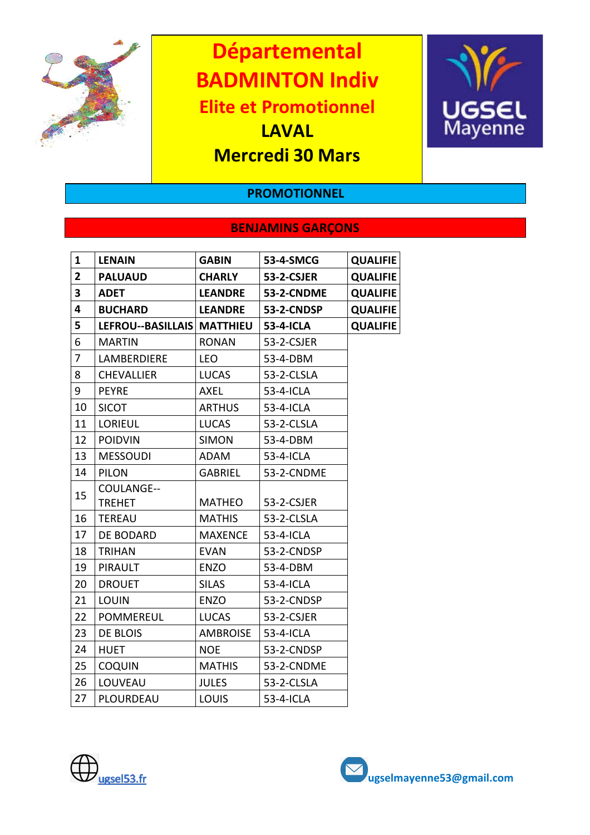

**Départemental BADMINTON Indiv Elite et Promotionnel LAVAL**

**Mercredi 30 Mars**



### **PROMOTIONNEL**

## **BENJAMINS GARÇONS**

| <b>LENAIN</b>     | <b>GABIN</b>    | 53-4-SMCG                  | <b>QUALIFIE</b> |
|-------------------|-----------------|----------------------------|-----------------|
| <b>PALUAUD</b>    | <b>CHARLY</b>   | <b>53-2-CSJER</b>          | <b>QUALIFIE</b> |
| <b>ADET</b>       | <b>LEANDRE</b>  | <b>53-2-CNDME</b>          | <b>QUALIFIE</b> |
| <b>BUCHARD</b>    | <b>LEANDRE</b>  | 53-2-CNDSP                 | <b>QUALIFIE</b> |
|                   |                 | 53-4-ICLA                  | <b>QUALIFIE</b> |
| <b>MARTIN</b>     | <b>RONAN</b>    | 53-2-CSJER                 |                 |
| LAMBERDIERE       | <b>LEO</b>      | 53-4-DBM                   |                 |
| <b>CHEVALLIER</b> | <b>LUCAS</b>    | 53-2-CLSLA                 |                 |
| <b>PEYRE</b>      | AXEL            | 53-4-ICLA                  |                 |
| <b>SICOT</b>      | <b>ARTHUS</b>   | 53-4-ICLA                  |                 |
| <b>LORIEUL</b>    | <b>LUCAS</b>    | 53-2-CLSLA                 |                 |
| <b>POIDVIN</b>    | <b>SIMON</b>    | 53-4-DBM                   |                 |
| <b>MESSOUDI</b>   | ADAM            | 53-4-ICLA                  |                 |
| <b>PILON</b>      | <b>GABRIEL</b>  | 53-2-CNDME                 |                 |
| COULANGE--        |                 |                            |                 |
| <b>TREHET</b>     | <b>MATHEO</b>   | 53-2-CSJER                 |                 |
| <b>TEREAU</b>     | <b>MATHIS</b>   | 53-2-CLSLA                 |                 |
| <b>DE BODARD</b>  | <b>MAXENCE</b>  | 53-4-ICLA                  |                 |
| <b>TRIHAN</b>     | <b>EVAN</b>     | 53-2-CNDSP                 |                 |
| <b>PIRAULT</b>    | <b>ENZO</b>     | 53-4-DBM                   |                 |
| <b>DROUET</b>     | <b>SILAS</b>    | 53-4-ICLA                  |                 |
| <b>LOUIN</b>      | <b>ENZO</b>     | 53-2-CNDSP                 |                 |
| <b>POMMEREUL</b>  | <b>LUCAS</b>    | 53-2-CSJER                 |                 |
| DE BLOIS          | <b>AMBROISE</b> | 53-4-ICLA                  |                 |
| <b>HUET</b>       | <b>NOE</b>      | 53-2-CNDSP                 |                 |
| <b>COQUIN</b>     | <b>MATHIS</b>   | 53-2-CNDME                 |                 |
| LOUVEAU           | <b>JULES</b>    | 53-2-CLSLA                 |                 |
| PLOURDEAU         | <b>LOUIS</b>    | 53-4-ICLA                  |                 |
|                   |                 | LEFROU--BASILLAIS MATTHIEU |                 |



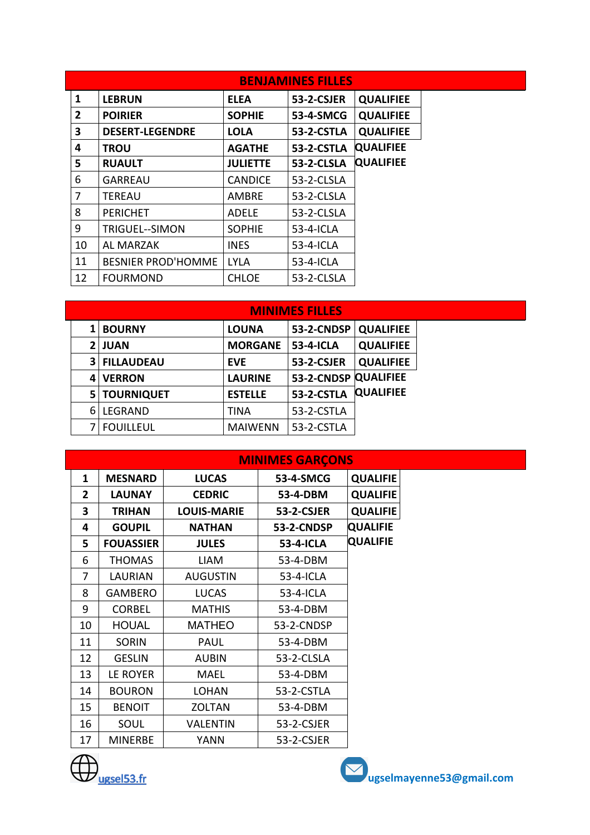|                |                           |                 | <b>BENJAMINES FILLES</b> |                  |  |
|----------------|---------------------------|-----------------|--------------------------|------------------|--|
| 1              | <b>LEBRUN</b>             | <b>ELEA</b>     | 53-2-CSJER               | <b>QUALIFIEE</b> |  |
| $\overline{2}$ | <b>POIRIER</b>            | <b>SOPHIE</b>   | 53-4-SMCG                | <b>QUALIFIEE</b> |  |
| 3              | <b>DESERT-LEGENDRE</b>    | <b>LOLA</b>     | 53-2-CSTLA               | <b>QUALIFIEE</b> |  |
| 4              | <b>TROU</b>               | <b>AGATHE</b>   | 53-2-CSTLA               | <b>QUALIFIEE</b> |  |
| 5              | <b>RUAULT</b>             | <b>JULIETTE</b> | <b>53-2-CLSLA</b>        | <b>QUALIFIEE</b> |  |
| 6              | <b>GARREAU</b>            | <b>CANDICE</b>  | 53-2-CLSLA               |                  |  |
| 7              | <b>TEREAU</b>             | <b>AMBRE</b>    | 53-2-CLSLA               |                  |  |
| 8              | <b>PERICHET</b>           | <b>ADELE</b>    | 53-2-CLSLA               |                  |  |
| 9              | <b>TRIGUEL--SIMON</b>     | <b>SOPHIE</b>   | 53-4-ICLA                |                  |  |
| 10             | <b>AL MARZAK</b>          | <b>INES</b>     | 53-4-ICLA                |                  |  |
| 11             | <b>BESNIER PROD'HOMME</b> | <b>LYLA</b>     | 53-4-ICLA                |                  |  |
| 12             | <b>FOURMOND</b>           | <b>CHLOE</b>    | 53-2-CLSLA               |                  |  |

|                | <b>MINIMES FILLES</b> |                |                      |                  |  |  |  |
|----------------|-----------------------|----------------|----------------------|------------------|--|--|--|
|                | <b>BOURNY</b>         | <b>LOUNA</b>   | 53-2-CNDSP           | <b>QUALIFIEE</b> |  |  |  |
|                | <b>JUAN</b>           | <b>MORGANE</b> | 53-4-ICLA            | <b>QUALIFIEE</b> |  |  |  |
| 3              | <b>FILLAUDEAU</b>     | <b>EVE</b>     | 53-2-CSJER           | <b>QUALIFIEE</b> |  |  |  |
| 4              | <b>VERRON</b>         | <b>LAURINE</b> | 53-2-CNDSP QUALIFIEE |                  |  |  |  |
| 5 <sup>1</sup> | <b>TOURNIQUET</b>     | <b>ESTELLE</b> | 53-2-CSTLA           | <b>QUALIFIEE</b> |  |  |  |
| 6              | LEGRAND               | <b>TINA</b>    | 53-2-CSTLA           |                  |  |  |  |
|                | <b>FOUILLEUL</b>      | <b>MAIWENN</b> | 53-2-CSTLA           |                  |  |  |  |

|              |                  |                    | <b>MINIMES GARCONS</b> |                 |
|--------------|------------------|--------------------|------------------------|-----------------|
| 1            | <b>MESNARD</b>   | <b>LUCAS</b>       | 53-4-SMCG              | <b>QUALIFIE</b> |
| $\mathbf{2}$ | <b>LAUNAY</b>    | <b>CEDRIC</b>      | 53-4-DBM               | <b>QUALIFIE</b> |
| 3            | <b>TRIHAN</b>    | <b>LOUIS-MARIE</b> | 53-2-CSJER             | <b>QUALIFIE</b> |
| 4            | <b>GOUPIL</b>    | <b>NATHAN</b>      | 53-2-CNDSP             | <b>QUALIFIE</b> |
| 5            | <b>FOUASSIER</b> | <b>JULES</b>       | 53-4-ICLA              | <b>QUALIFIE</b> |
| 6            | <b>THOMAS</b>    | LIAM               | 53-4-DBM               |                 |
| 7            | <b>LAURIAN</b>   | <b>AUGUSTIN</b>    | 53-4-ICLA              |                 |
| 8            | <b>GAMBERO</b>   | <b>LUCAS</b>       | 53-4-ICLA              |                 |
| 9            | <b>CORBEL</b>    | <b>MATHIS</b>      | 53-4-DBM               |                 |
| 10           | <b>HOUAL</b>     | <b>MATHEO</b>      | 53-2-CNDSP             |                 |
| 11           | <b>SORIN</b>     | <b>PAUL</b>        | 53-4-DBM               |                 |
| 12           | <b>GESLIN</b>    | <b>AUBIN</b>       | 53-2-CLSLA             |                 |
| 13           | LE ROYER         | <b>MAEL</b>        | 53-4-DBM               |                 |
| 14           | <b>BOURON</b>    | <b>LOHAN</b>       | 53-2-CSTLA             |                 |
| 15           | <b>BENOIT</b>    | <b>ZOLTAN</b>      | 53-4-DBM               |                 |
| 16           | SOUL             | <b>VALENTIN</b>    | 53-2-CSJER             |                 |
| 17           | <b>MINERBE</b>   | YANN               | 53-2-CSJER             |                 |